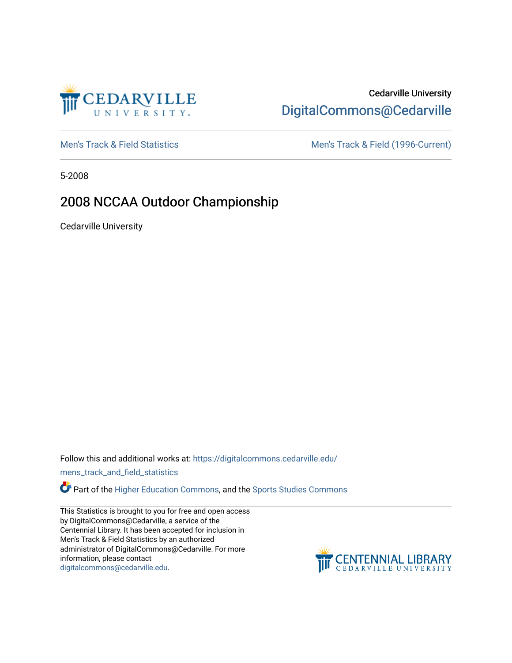

# Cedarville University [DigitalCommons@Cedarville](https://digitalcommons.cedarville.edu/)

[Men's Track & Field Statistics](https://digitalcommons.cedarville.edu/mens_track_and_field_statistics) [Men's Track & Field \(1996-Current\)](https://digitalcommons.cedarville.edu/mens_track_and_field) 

5-2008

## 2008 NCCAA Outdoor Championship

Cedarville University

Follow this and additional works at: [https://digitalcommons.cedarville.edu/](https://digitalcommons.cedarville.edu/mens_track_and_field_statistics?utm_source=digitalcommons.cedarville.edu%2Fmens_track_and_field_statistics%2F188&utm_medium=PDF&utm_campaign=PDFCoverPages)

[mens\\_track\\_and\\_field\\_statistics](https://digitalcommons.cedarville.edu/mens_track_and_field_statistics?utm_source=digitalcommons.cedarville.edu%2Fmens_track_and_field_statistics%2F188&utm_medium=PDF&utm_campaign=PDFCoverPages)

**Part of the [Higher Education Commons,](http://network.bepress.com/hgg/discipline/1245?utm_source=digitalcommons.cedarville.edu%2Fmens_track_and_field_statistics%2F188&utm_medium=PDF&utm_campaign=PDFCoverPages) and the Sports Studies Commons** 

This Statistics is brought to you for free and open access by DigitalCommons@Cedarville, a service of the Centennial Library. It has been accepted for inclusion in Men's Track & Field Statistics by an authorized administrator of DigitalCommons@Cedarville. For more information, please contact [digitalcommons@cedarville.edu](mailto:digitalcommons@cedarville.edu).

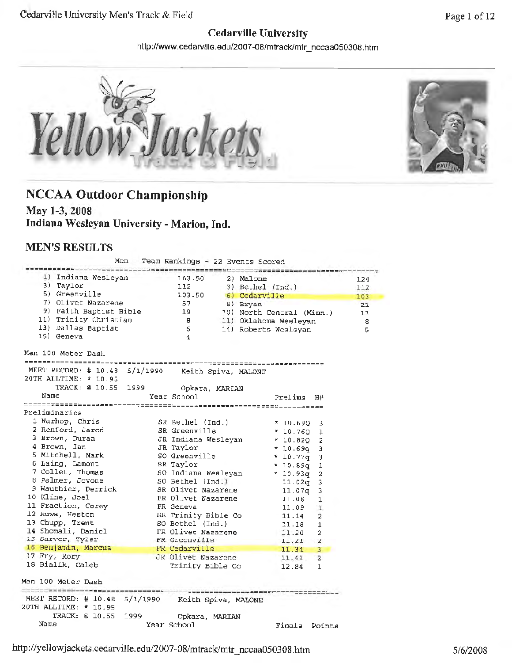#### **Cedarville University**

http://www.cedarville.edu/2007-08/mtrack/mtr\_nccaa050308.htm



# **NCCAA Outdoor Championship**

**May 1-3, 2008 Indiana Wesleyan University -Marion, Ind.** 

#### **MEN'S RESULTS**

Men - Team Rankings - 22 Events Scored

| 1) Indiana Wesleyan 163.50                                                                                                                                                                                                     |             |                                                      | 2) Malone                      | 124 |
|--------------------------------------------------------------------------------------------------------------------------------------------------------------------------------------------------------------------------------|-------------|------------------------------------------------------|--------------------------------|-----|
| 3) Taylor                                                                                                                                                                                                                      |             |                                                      | 112 3) Bethel (Ind.)           | 112 |
| 5) Greenville                                                                                                                                                                                                                  |             |                                                      | 103.50 6) Cedarville           | 103 |
| 7) Olivet Nazarene                                                                                                                                                                                                             |             |                                                      | 8) Bryan                       | 21  |
|                                                                                                                                                                                                                                |             |                                                      | 10) North Central (Minn.)      | 11  |
| 11) Trinity Christian                                                                                                                                                                                                          |             | $\overline{a}$                                       | 11) Oklahoma Wesleyan          | - 8 |
| 13) Dallas Baptist                                                                                                                                                                                                             |             | 6 <sup>1</sup>                                       | 14) Roberts Wesleyan           | -5  |
| 15) Geneva                                                                                                                                                                                                                     |             | $\overline{4}$                                       |                                |     |
| Men 100 Meter Dash                                                                                                                                                                                                             |             |                                                      |                                |     |
|                                                                                                                                                                                                                                |             |                                                      |                                |     |
| MEET RECORD: # 10.48 5/1/1990 Keith Spiva, MALONE                                                                                                                                                                              |             |                                                      |                                |     |
| 20TH ALLTIME: * 10.95                                                                                                                                                                                                          |             |                                                      |                                |     |
| TRACK: @ 10.55 1999 Opkara, MARIAN                                                                                                                                                                                             |             |                                                      |                                |     |
| Name                                                                                                                                                                                                                           | Year School |                                                      | Prelims H#                     |     |
|                                                                                                                                                                                                                                |             |                                                      |                                |     |
| Preliminaries                                                                                                                                                                                                                  |             |                                                      |                                |     |
| 1 Warhop, Chris                                                                                                                                                                                                                |             |                                                      | SR Bethel (Ind.) * 10.690 3    |     |
| $\frac{1 \text{ radiny}}{2 \text{ Renford}}$ , Jarod                                                                                                                                                                           |             | SR Greenville<br>JR Indiana Wesleyan                 | $*10.7601$                     |     |
|                                                                                                                                                                                                                                |             |                                                      | $*10.820$ 2                    |     |
| 4 Brown, Ian                                                                                                                                                                                                                   |             | JR Taylor                                            | $*10.69q$ 3                    |     |
| 5 Mitchell, Mark                                                                                                                                                                                                               |             | SO Greenville                                        | $* 10.77q 3$                   |     |
| 6 Laing, Lamont<br>7 Collet, Thomas                                                                                                                                                                                            |             | SR Taylor<br>SO Indiana Wesleyan<br>SO Bethel (Ind.) | $*10.89q1$                     |     |
|                                                                                                                                                                                                                                |             |                                                      | $* 10.93q 2$                   |     |
| 8 Palmer, Jovone                                                                                                                                                                                                               |             |                                                      | $11.02q$ 3                     |     |
| 9 Wauthier, Derrick SR Olivet Nazarene 11.07q 3                                                                                                                                                                                |             |                                                      |                                |     |
| 10 Kline, Joel                                                                                                                                                                                                                 |             | FR Olivet Nazarene<br>FR Geneva                      | 1<br>11.08                     |     |
| 11 Fraction, Corey                                                                                                                                                                                                             |             |                                                      | 11.09<br>$\mathbf{1}$          |     |
| 12 Huwa, Heston                                                                                                                                                                                                                |             |                                                      | SR Trinity Bible Co 11.14<br>2 |     |
| 13 Chupp, Trent                                                                                                                                                                                                                |             | SO Bethel (Ind.)                                     | 11.18<br>1                     |     |
| 14 Shomali, Daniel<br>15 Sarver, Tyler                                                                                                                                                                                         |             | FR Olivet Nazarene                                   | 11.20<br>2                     |     |
|                                                                                                                                                                                                                                |             | FR Greenville                                        | $11.21$ 2                      |     |
| 16 Benjamin, Marcus                                                                                                                                                                                                            |             | FR Cedarville                                        | $11.34$ 3                      |     |
| 17 Fry, Rory Management of the Second State of the Second State of the Second State of the Second State of the Second State of the Second State of the Second State of the Second State of the Second State of the Second Stat |             | JR Olivet Nazarene                                   | 11.41<br>$\mathbf{2}$          |     |
| 18 Bialik, Caleb                                                                                                                                                                                                               |             | Trinity Bible Co                                     | 12.84<br>1                     |     |
| Men 100 Meter Dash                                                                                                                                                                                                             |             |                                                      |                                |     |
|                                                                                                                                                                                                                                |             |                                                      |                                |     |
| MEET RECORD: # 10.48 5/1/1990 Keith Spiva, MALONE<br>20TH ALLTIME: * 10.95                                                                                                                                                     |             |                                                      |                                |     |
| TRACK: @ 10.55 1999                                                                                                                                                                                                            |             |                                                      |                                |     |
| Name                                                                                                                                                                                                                           |             | Opkara, MARIAN<br>Year School                        |                                |     |
|                                                                                                                                                                                                                                |             |                                                      | Finals Points                  |     |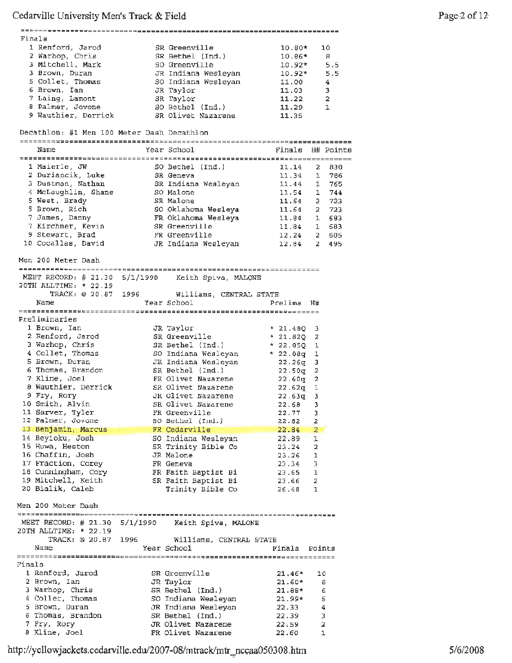|        | Finals                                          |      |                                                   |                  |                     |  |
|--------|-------------------------------------------------|------|---------------------------------------------------|------------------|---------------------|--|
|        | 1 Renford, Jarod                                |      | SR Greenville                                     | $10.80*$         | 10                  |  |
|        | 2 Warhop, Chris                                 |      | SR Bethel (Ind.)                                  |                  |                     |  |
|        |                                                 |      |                                                   | $10.86*$         | 8                   |  |
|        | 3 Mitchell, Mark                                |      | SO Greenville                                     | $10.92*$         | 5.5                 |  |
|        | 3 Brown, Duran                                  |      | JR Indiana Wesleyan                               | $10.92*$ 5.5     |                     |  |
|        | 5 Collet, Thomas                                |      | SO Indiana Wesleyan                               | 11.00            | $\overline{4}$      |  |
|        | 6 Brown, Ian                                    |      | JR Taylor                                         | 11.03            | 3                   |  |
|        |                                                 |      |                                                   |                  |                     |  |
|        | 7 Laing, Lamont                                 |      | SR Taylor                                         | 11.22            | $\overline{a}$      |  |
|        | 8 Palmer, Jovone                                |      | SO Bethel (Ind.)                                  | 11.29            | $\mathbf{1}$        |  |
|        |                                                 |      | 9 Wauthier, Derrick SR Olivet Nazarene            | 11.35            |                     |  |
|        |                                                 |      |                                                   |                  |                     |  |
|        | Decathlon: #1 Men 100 Meter Dash Decathlon      |      |                                                   |                  |                     |  |
|        |                                                 |      |                                                   |                  |                     |  |
|        |                                                 |      |                                                   |                  |                     |  |
|        | Name                                            |      | Year School                                       | Finals H# Points |                     |  |
|        |                                                 |      |                                                   |                  |                     |  |
|        | 1 Maierle, JW                                   |      | SO Bethel (Ind.)                                  | 11.14            | 830<br>2.           |  |
|        |                                                 |      |                                                   |                  |                     |  |
|        | 2 Duriancik, Luke SR Geneva                     |      |                                                   | 11.34            | $\mathbf{1}$<br>786 |  |
|        | 3 Dustman, Nathan                               |      | SR Indiana Wesleyan                               | $11.44$ 1        | 765                 |  |
|        | 4 McLaughlin, Shane                             |      | SO Malone                                         | 11.54            | 744<br>$\mathbf{1}$ |  |
|        | 5 West, Brady                                   |      | SR Malone                                         | 11.64            | 723<br>$\mathbf{2}$ |  |
|        |                                                 |      |                                                   |                  |                     |  |
|        | 5 Brown, Rich                                   |      | SO Oklahoma Wesleya                               |                  | 11.64 2 723         |  |
|        | 7 James, Danny                                  |      | FR Oklahoma Wesleya                               | 11.84            | 683<br>$1 -$        |  |
|        | 7 Kirchner, Kevin                               |      | SR Greenville                                     | $11.84$ 1        | 683                 |  |
|        | 9 Stewart, Brad                                 |      | FR Greenville                                     |                  | 12.24 2 605         |  |
|        |                                                 |      |                                                   |                  |                     |  |
|        | 10 Cocallas, David                              |      | JR Indiana Wesleyan                               | $12.84$ 2        | 495                 |  |
|        |                                                 |      |                                                   |                  |                     |  |
|        | Men 200 Meter Dash                              |      |                                                   |                  |                     |  |
|        |                                                 |      |                                                   |                  |                     |  |
|        |                                                 |      |                                                   |                  |                     |  |
|        |                                                 |      | MEET RECORD: # 21.30 5/1/1990 Keith Spiva, MALONE |                  |                     |  |
|        | 20TH ALLTIME: * 22.19                           |      |                                                   |                  |                     |  |
|        |                                                 |      | TRACK: @ 20.87 1996 Williams, CENTRAL STATE       |                  |                     |  |
|        | Name                                            |      | Year School                                       | Prelima H#       |                     |  |
|        |                                                 |      |                                                   |                  |                     |  |
|        |                                                 |      |                                                   |                  |                     |  |
|        | Preliminaries                                   |      |                                                   |                  |                     |  |
|        | 1 Brown, Ian                                    |      | JR Taylor                                         | * $21.48Q$ 3     |                     |  |
|        | 2 Renford, Jarod                                |      | SR Greenville                                     | $* 21.82Q 2$     |                     |  |
|        |                                                 |      |                                                   |                  |                     |  |
|        | 3 Warhop, Chris<br>$\frac{1}{4}$ Collet, Thomas |      | SR Bethel (Ind.)                                  | $* 22.05Q 1$     |                     |  |
|        |                                                 |      | SO Indiana Wesleyan                               | $* 22.08q 1$     |                     |  |
|        | 5 Brown, Duran                                  |      | JR Indiana Wesleyan                               | $22.26\sigma 3$  |                     |  |
|        | 6 Thomas, Brandon                               |      | SR Bethel (Ind.)                                  | $22.50q$ 2       |                     |  |
|        | 7 Kline, Joel                                   |      | FR Olivet Nazarene                                | 22.60q 2         |                     |  |
|        |                                                 |      |                                                   |                  |                     |  |
|        | 8 Wauthier, Derrick                             |      | SR Olivet Nazarene                                | $22.62q$ 1       |                     |  |
|        | 9 Fry, Rory                                     |      | JR Olivet Nazarene                                | $22.63q - 3$     |                     |  |
|        | 10 Smith, Alvin                                 |      | SR Olivet Nazarene                                | $22.68$ 3        |                     |  |
|        | 11 Sarver, Tyler                                |      | FR Greenville                                     | 22.77            | з                   |  |
|        |                                                 |      |                                                   |                  |                     |  |
|        | 12 Palmer, Jovone                               |      | SO Bethel (Ind.)                                  | 22.82            | 2                   |  |
|        | 13 Benjamin, Marcus                             |      | FR Cedarville                                     | 22.84            | 2                   |  |
|        | 14 Beyioku, Josh                                |      | SO Indiana Wesleyan                               | 22.89            | ı                   |  |
|        | 15 Huwa, Heston                                 |      | SR Trinity Bible Co                               | 23.24            | 2                   |  |
|        |                                                 |      |                                                   |                  |                     |  |
|        | 16 Chaffin, Josh                                |      | JR Malone                                         | 23.26            | 1                   |  |
|        | 17 Fraction, Corey                              |      | FR Geneva                                         | 23.34            | 3                   |  |
|        | 18 Cunningham, Cory                             |      | FR Faith Baptist Bi                               | 23.65            | 1                   |  |
|        | 19 Mitchell, Keith                              |      | SR Faith Baptist Bi                               | 23.66            | 2                   |  |
|        | 20 Bialik, Caleb                                |      |                                                   |                  |                     |  |
|        |                                                 |      | Trinity Bible Co                                  | 26.48            | 1                   |  |
|        |                                                 |      |                                                   |                  |                     |  |
|        | Men 200 Meter Dash                              |      |                                                   |                  |                     |  |
|        |                                                 |      |                                                   |                  |                     |  |
|        | MEET RECORD: # 21.30 5/1/1990                   |      | Keith Spiva, MALONE                               |                  |                     |  |
|        |                                                 |      |                                                   |                  |                     |  |
|        | 20TH ALLTIME: * 22.19                           |      |                                                   |                  |                     |  |
|        | TRACK: 0 20.87                                  | 1996 | Williams, CENTRAL STATE                           |                  |                     |  |
|        | Name                                            |      | Year School                                       | Finals           | Points              |  |
|        |                                                 |      |                                                   |                  |                     |  |
| Finals |                                                 |      |                                                   |                  |                     |  |
|        |                                                 |      |                                                   |                  |                     |  |
|        | 1 Renford, Jarod                                |      | SR Greenville                                     | $21.46*$         | 10                  |  |
|        | 2 Brown, Ian                                    |      | JR Taylor                                         | $21.60*$         | 8                   |  |
|        | 3 Warhop, Chris                                 |      | SR Bethel (Ind.)                                  | 21.88*           | 6                   |  |
|        |                                                 |      |                                                   |                  |                     |  |
|        | 4 Collet, Thomas                                |      | SO Indiana Wesleyan                               | 21.99*           | 5                   |  |
|        | 5 Brown, Duran                                  |      | JR Indiana Wesleyan                               | 22.33            | 4                   |  |
|        | 6 Thomas, Brandon                               |      | SR Bethel (Ind.)                                  | 22.39            | 3                   |  |
|        |                                                 |      |                                                   |                  |                     |  |
|        |                                                 |      |                                                   |                  |                     |  |
|        | 7 Fry, Rory<br>8 Kline, Joel                    |      | JR Olivet Nazarene<br>FR Olivet Nazarene          | 22.59<br>22.60   | 2<br>ı              |  |

http://yellowjackets.cedarville.edu/2007-08/mtrack/mtr\_nccaa050308.htm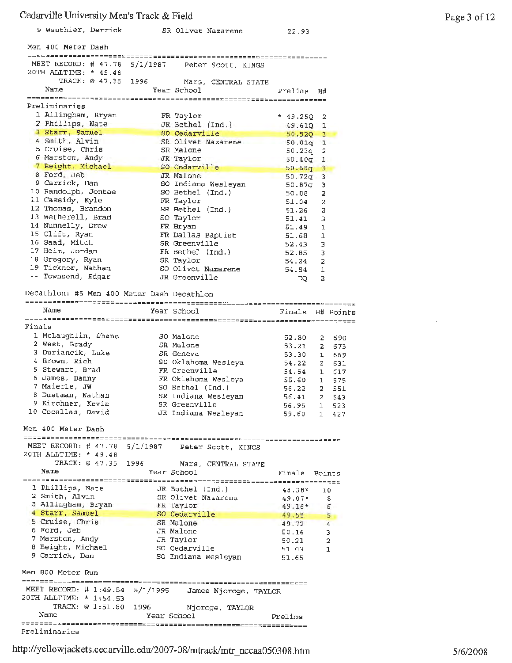|        | 9 Wauthier, Derrick                                    |                |                       | SR Olivet Nazarene                                    | 22,93                              |                              |                     |
|--------|--------------------------------------------------------|----------------|-----------------------|-------------------------------------------------------|------------------------------------|------------------------------|---------------------|
|        | Men 400 Meter Dash                                     |                |                       |                                                       |                                    |                              |                     |
|        | MEET RECORD: # 47.78 5/1/1987<br>20TH ALLTIME: * 49.48 |                |                       | Peter Scott, KINGS                                    |                                    |                              |                     |
|        | Name                                                   | TRACK: @ 47.35 | 1996 — 1996           | Mars, CENTRAL STATE<br>Year School                    | Prelima                            | H#                           |                     |
|        | Preliminaries                                          |                |                       |                                                       |                                    |                              |                     |
|        | 1 Allingham, Bryan                                     |                |                       | FR Taylor                                             | $* 49.25Q$                         | 2                            |                     |
|        | 2 Phillips, Nate<br>3 Starr, Samuel                    |                |                       | JR Bethel (Ind.) 49.610 1                             | --                                 |                              |                     |
|        | 4 Smith, Alvin                                         |                |                       | SO Cedarville<br>SR Olivet Nazarene 50.01q 1          | $50.52Q$ 3                         |                              |                     |
|        | 5 Cruise, Chris                                        |                |                       | SR Malone                                             | 50.23q                             | 2                            |                     |
|        | 6 Marston, Andy                                        |                |                       | JR Taylor                                             | $50.40q$ 1                         |                              |                     |
|        | 7 Beight, Michael<br>8 Ford, Jeb                       |                |                       | SO Cedarville<br>JR Malone                            | د<br>$50.68q$ 3<br>50.72q<br>السنة | 3                            |                     |
|        | 9 Carrick, Dan                                         |                |                       | SO Indiana Wesleyan                                   | 50.87g                             | з                            |                     |
|        | 10 Randolph, Jontae                                    |                |                       | SO Bethel (Ind.)                                      | 50.68                              | $\overline{a}$               |                     |
|        | 11 Cassidy, Kyle<br>12 Thomas, Brandon                 |                |                       | FR Taylor                                             | 51.04                              | 2                            |                     |
|        | 13 Wetherell, Brad                                     |                |                       | SR Bethel (Ind.)<br>SO Taylor                         | 51.26<br>51.41                     | 2<br>3                       |                     |
|        | 14 Nunnelly, Drew                                      |                |                       | FR Bryan                                              | 51.49                              | ı                            |                     |
|        | 15 Clift, Ryan                                         |                |                       | FR Dallas Baptist                                     | 51.68                              | 1                            |                     |
|        | 16 Saad, Mitch<br>17 Heim, Jordan                      |                |                       | SR Greenville<br>FR Bethel (Ind.)                     | 52.43<br>52.85                     | з<br>3                       |                     |
|        | 18 Gregory, Ryan                                       |                |                       | SR Taylor                                             | 54.24                              | 2                            |                     |
|        | 19 Ticknor, Nathan                                     |                |                       | SO Olivet Nazarene                                    | 54.84                              | 1                            |                     |
|        | -- Townsend, Edgar                                     |                |                       | JR Greenville                                         | DQ.                                | 2                            |                     |
|        | Decathlon: #5 Men 400 Meter Dash Decathlon             |                |                       |                                                       |                                    |                              |                     |
|        | Name                                                   |                |                       | Year School                                           | Finals                             |                              | H# Points           |
| Finals |                                                        |                |                       |                                                       |                                    |                              |                     |
|        | 1 McLaughlin, Shane                                    |                |                       | SO Malone                                             | 52.80                              | 2                            | 690                 |
|        | 2 West, Brady                                          |                |                       | SR Malone                                             | 53.21                              | 2                            | 673                 |
|        | 3 Duriancik, Luke<br>4 Brown, Rich                     |                |                       | SR Geneva                                             | 53.30                              | ı                            | 669                 |
|        | 5 Stewart, Brad                                        |                |                       | SO Oklahoma Wesleya<br>FR Greenville                  | 54.22<br>54.54                     | 2.<br>ı                      | 631<br>617          |
|        | 6 James, Danny                                         |                |                       | FR Oklahoma Wesleya                                   | 55.60                              | $\mathbf{1}$                 | 575                 |
|        | 7 Maierle, JW                                          |                |                       | SO Bethel (Ind.)                                      | 56.22                              | 2.                           | 551                 |
|        | 8 Dustman, Nathan<br>9 Kirchner, Kevin                 |                |                       | SR Indiana Wesleyan<br>SR Greenville                  | 56.41                              | 2                            | 543                 |
|        | 10 Cocallas, David                                     |                |                       | JR Indiana Wesleyan                                   | 56.95<br>59.60                     | $\mathbf{1}$<br>$\mathbf{1}$ | 523<br>427          |
|        | Men 400 Meter Dash                                     |                |                       |                                                       |                                    |                              |                     |
|        | 20TH ALLTIME: * 49.48                                  |                |                       | MEET RECORD: # 47.78 5/1/1987 Peter Scott, KINGS      |                                    |                              |                     |
|        | TRACK: @ 47.35 1996                                    |                |                       | Mars, CENTRAL STATE                                   |                                    |                              |                     |
|        | Name                                                   |                |                       | Year School                                           | Finals Points                      |                              |                     |
|        | 1 Phillips, Nate                                       |                |                       | JR Bethel (Ind.)                                      | 48.38*                             | 10                           |                     |
|        | 2 Smith, Alvin                                         |                |                       | SR Olivet Nazarene                                    | 49.07*                             |                              | 8                   |
|        | 3 Allingham, Bryan                                     |                |                       | FR Taylor                                             | $49.16*$                           |                              | 6                   |
|        | 4 Starr, Samuel<br>5 Cruise, Chris                     |                |                       | SO Cedarville<br>SR Malone                            | 49.55                              |                              | 5                   |
|        | 6 Ford, Jeb                                            |                |                       | JR Malone                                             | 49.72<br>50.16                     |                              | $\overline{4}$<br>з |
|        | 7 Marston, Andy                                        |                |                       | JR Taylor                                             | 50.21                              |                              | 2                   |
|        | 8 Beight, Michael<br>9 Carrick, Dan                    |                |                       | SO Cedarville                                         | 51.03                              |                              | 1                   |
|        | Men 800 Meter Run                                      |                |                       | SO Indiana Wesleyan                                   | 51.65                              |                              |                     |
|        |                                                        |                |                       |                                                       |                                    |                              |                     |
|        | 20TH ALLTIME: * 1:54.53                                |                |                       | MEET RECORD: # 1:49.54 5/1/1995 James Njoroge, TAYLOR |                                    |                              |                     |
|        | Name                                                   |                | TRACK: @ 1:51.80 1996 | Njoroge, TAYLOR<br>Year School                        | Prelims                            |                              |                     |
|        |                                                        |                |                       |                                                       |                                    |                              |                     |
|        | Preliminaries                                          |                |                       |                                                       |                                    |                              |                     |

Page 3 of 12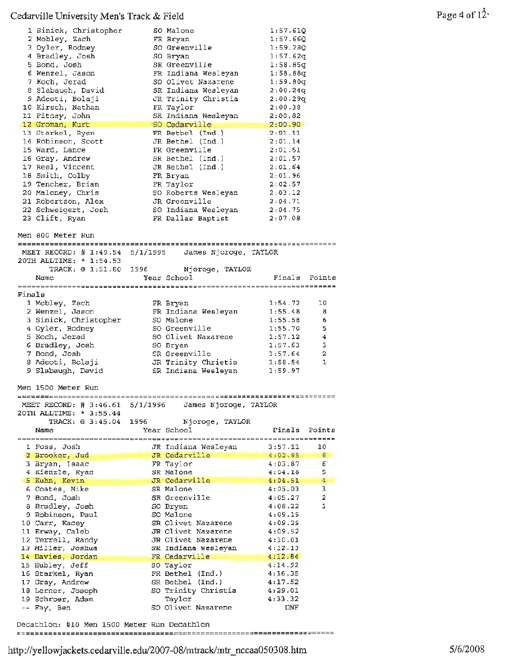|        | 1 Sinick, Christopher<br>2 Mobley, Zach<br>3 Oyler, Rodney<br>4 Bradley, Josh<br>5 Bond, Josh<br>6 Wenzel, Jason<br>7 Koch, Jerad<br>8 Slabaugh, David<br>9 Adeoti, Bolaji<br>10 Kirsch, Nathan<br>11 Pitney, John<br>12 Groman, Kurt<br>13 Starkel, Ryan<br>14 Robinson, Scott<br>15 Ward, Lance<br>16 Gray, Andrew<br>17 Reel, Vincent<br>18 Smith, Colby<br>19 Tencher, Brian<br>20 Maloney, Chris<br>21 Robertson, Alex<br>22 Schweigert, Josh<br>23 Clift, Ryan |          | SO Malone<br>FR Bryan<br>SO Greenville<br>SO Bryan<br>SR Greenville<br>FR Indiana Wesleyan<br>SO Olivet Nazarene<br>SR Indiana Wesleyan<br>JR Trinity Christia<br>FR Taylor<br>SR Indiana Wesleyan<br>SO Cedarville<br>FR Bethel (Ind.)<br>JR Bethel (Ind.)<br>FR Greenville<br>SR Bethel (Ind.)<br>JR Bethel (Ind.)<br>FR Bryan<br>FR Taylor<br>SO Roberts Wesleyan<br>JR Greenville<br>SO Indiana Wesleyan<br>FR Dallas Baptist | 1:57.61Q<br>1:57.66Q<br>1:59.280<br>1:57.62q<br>1:58.85q<br>1:58.88q<br>1:59.80q<br>2:00.24q<br>2:00.29q<br>2:00.38<br>2:00.82<br>2:00.90<br>2:01.11<br>2:01.14<br>2:01.51<br>2:01.57<br>2:01.64<br>2:01.96<br>2:02.57<br>2:03.12<br>2:04.71<br>2:04.75<br>2:07.08 |                |
|--------|----------------------------------------------------------------------------------------------------------------------------------------------------------------------------------------------------------------------------------------------------------------------------------------------------------------------------------------------------------------------------------------------------------------------------------------------------------------------|----------|-----------------------------------------------------------------------------------------------------------------------------------------------------------------------------------------------------------------------------------------------------------------------------------------------------------------------------------------------------------------------------------------------------------------------------------|--------------------------------------------------------------------------------------------------------------------------------------------------------------------------------------------------------------------------------------------------------------------|----------------|
|        | Men 800 Meter Run                                                                                                                                                                                                                                                                                                                                                                                                                                                    |          |                                                                                                                                                                                                                                                                                                                                                                                                                                   |                                                                                                                                                                                                                                                                    |                |
|        | MEET RECORD: $\#$ 1:49.54                                                                                                                                                                                                                                                                                                                                                                                                                                            |          | 5/1/1995 James Njoroge, TAYLOR                                                                                                                                                                                                                                                                                                                                                                                                    |                                                                                                                                                                                                                                                                    |                |
|        | 20TH ALLTIME: * 1:54.53<br>TRACK: @ 1:51.80                                                                                                                                                                                                                                                                                                                                                                                                                          |          | 1996 Njoroge, TAYLOR                                                                                                                                                                                                                                                                                                                                                                                                              |                                                                                                                                                                                                                                                                    |                |
|        | Name                                                                                                                                                                                                                                                                                                                                                                                                                                                                 |          | Year School                                                                                                                                                                                                                                                                                                                                                                                                                       | Finals Points                                                                                                                                                                                                                                                      |                |
| Finals |                                                                                                                                                                                                                                                                                                                                                                                                                                                                      |          |                                                                                                                                                                                                                                                                                                                                                                                                                                   | ==========================                                                                                                                                                                                                                                         |                |
|        | 1 Mobley, Zach                                                                                                                                                                                                                                                                                                                                                                                                                                                       |          | FR Bryan                                                                                                                                                                                                                                                                                                                                                                                                                          | 1:54.72                                                                                                                                                                                                                                                            | 10             |
|        | 2 Wenzel, Jason                                                                                                                                                                                                                                                                                                                                                                                                                                                      |          | FR Indiana Wesleyan                                                                                                                                                                                                                                                                                                                                                                                                               | 1:55.48                                                                                                                                                                                                                                                            | 8              |
|        | 3 Sinick, Christopher                                                                                                                                                                                                                                                                                                                                                                                                                                                |          | SO Malone                                                                                                                                                                                                                                                                                                                                                                                                                         | 1:55.58                                                                                                                                                                                                                                                            | 6              |
|        | 4 Oyler, Rodney                                                                                                                                                                                                                                                                                                                                                                                                                                                      |          | SO Greenville<br>SO Olivet Nazarene                                                                                                                                                                                                                                                                                                                                                                                               | 1:55.70                                                                                                                                                                                                                                                            | 5              |
|        | 5 Koch, Jerad<br>6 Bradley, Josh                                                                                                                                                                                                                                                                                                                                                                                                                                     |          | SO Bryan                                                                                                                                                                                                                                                                                                                                                                                                                          | 1:57.12<br>1:57.63                                                                                                                                                                                                                                                 | 4<br>з         |
|        | 7 Bond, Josh                                                                                                                                                                                                                                                                                                                                                                                                                                                         |          | SR Greenville                                                                                                                                                                                                                                                                                                                                                                                                                     | 1:57.64                                                                                                                                                                                                                                                            | 2              |
|        | 8 Adeoti, Bolaji                                                                                                                                                                                                                                                                                                                                                                                                                                                     |          | JR Trinity Chrietia                                                                                                                                                                                                                                                                                                                                                                                                               | 1:58.54                                                                                                                                                                                                                                                            | 1              |
|        | 9 Slabaugh, David                                                                                                                                                                                                                                                                                                                                                                                                                                                    |          | SR Indiana Wesleyan                                                                                                                                                                                                                                                                                                                                                                                                               | 1:59.97                                                                                                                                                                                                                                                            |                |
|        | Men 1500 Meter Run                                                                                                                                                                                                                                                                                                                                                                                                                                                   |          |                                                                                                                                                                                                                                                                                                                                                                                                                                   |                                                                                                                                                                                                                                                                    |                |
|        |                                                                                                                                                                                                                                                                                                                                                                                                                                                                      |          |                                                                                                                                                                                                                                                                                                                                                                                                                                   |                                                                                                                                                                                                                                                                    |                |
|        | MEET RECORD: $\#$ 3:46.61                                                                                                                                                                                                                                                                                                                                                                                                                                            | 5/1/1996 | James Njoroge, TAYLOR                                                                                                                                                                                                                                                                                                                                                                                                             |                                                                                                                                                                                                                                                                    |                |
|        | 20TH ALLTIME: * 3:55.44                                                                                                                                                                                                                                                                                                                                                                                                                                              |          |                                                                                                                                                                                                                                                                                                                                                                                                                                   |                                                                                                                                                                                                                                                                    |                |
|        | TRACK: @ 3:45.04                                                                                                                                                                                                                                                                                                                                                                                                                                                     | 1996     | Njoroge, TAYLOR                                                                                                                                                                                                                                                                                                                                                                                                                   |                                                                                                                                                                                                                                                                    |                |
|        | Name                                                                                                                                                                                                                                                                                                                                                                                                                                                                 |          | Year School                                                                                                                                                                                                                                                                                                                                                                                                                       | Finals                                                                                                                                                                                                                                                             | Points         |
|        | l Foss, Josh                                                                                                                                                                                                                                                                                                                                                                                                                                                         |          | JR Indiana Wesleyan                                                                                                                                                                                                                                                                                                                                                                                                               | 3:57.11                                                                                                                                                                                                                                                            | 10             |
|        | 2 Brooker, Jud                                                                                                                                                                                                                                                                                                                                                                                                                                                       |          | JR Cedarville                                                                                                                                                                                                                                                                                                                                                                                                                     | 4:02.85                                                                                                                                                                                                                                                            | 8 <sub>1</sub> |
|        | 3 Bryan, Isaac                                                                                                                                                                                                                                                                                                                                                                                                                                                       |          | FR Taylor                                                                                                                                                                                                                                                                                                                                                                                                                         | 4:03.87                                                                                                                                                                                                                                                            | 6              |
|        | 4 Kienzle, Ryan                                                                                                                                                                                                                                                                                                                                                                                                                                                      |          | SR Malone                                                                                                                                                                                                                                                                                                                                                                                                                         | 4:04.18                                                                                                                                                                                                                                                            | 5.             |
|        | 5 Kuhn, Kevin                                                                                                                                                                                                                                                                                                                                                                                                                                                        |          | JR Cedarville                                                                                                                                                                                                                                                                                                                                                                                                                     | 4:04.51                                                                                                                                                                                                                                                            | 4              |
|        | 6 Coates, Mike                                                                                                                                                                                                                                                                                                                                                                                                                                                       |          | SR Malone                                                                                                                                                                                                                                                                                                                                                                                                                         | 4:05.03                                                                                                                                                                                                                                                            | 3<br>2         |
|        | 7 Bond, Josh<br>8 Bradley, Josh                                                                                                                                                                                                                                                                                                                                                                                                                                      |          | SR Greenville<br>SO Bryan                                                                                                                                                                                                                                                                                                                                                                                                         | 4:05.27<br>4:08.22                                                                                                                                                                                                                                                 | 1              |
|        | 9 Robinson, Paul                                                                                                                                                                                                                                                                                                                                                                                                                                                     |          | SO Malone                                                                                                                                                                                                                                                                                                                                                                                                                         | 4:09.19                                                                                                                                                                                                                                                            |                |
|        | 10 Carr, Kacey                                                                                                                                                                                                                                                                                                                                                                                                                                                       |          | SR Olivet Nazarene                                                                                                                                                                                                                                                                                                                                                                                                                | 4:09.29                                                                                                                                                                                                                                                            |                |
|        | 11 Erway, Caleb                                                                                                                                                                                                                                                                                                                                                                                                                                                      |          | JR Olivet Nazarene                                                                                                                                                                                                                                                                                                                                                                                                                | 4:09.52                                                                                                                                                                                                                                                            |                |
|        | 12 Terrell, Randy                                                                                                                                                                                                                                                                                                                                                                                                                                                    |          | JR Olivet Nazarene                                                                                                                                                                                                                                                                                                                                                                                                                | 4:10.01                                                                                                                                                                                                                                                            |                |
|        | 13 Miller, Joshua                                                                                                                                                                                                                                                                                                                                                                                                                                                    |          | SR Indiana Wesleyan                                                                                                                                                                                                                                                                                                                                                                                                               | 4:12.13                                                                                                                                                                                                                                                            |                |
|        | 14 Davies, Jordan                                                                                                                                                                                                                                                                                                                                                                                                                                                    |          | FR Cedarville                                                                                                                                                                                                                                                                                                                                                                                                                     | 4:12.84                                                                                                                                                                                                                                                            |                |
|        | 15 Hubley, Jeff<br>16 Starkel, Ryan                                                                                                                                                                                                                                                                                                                                                                                                                                  |          | SO Taylor<br>FR Bethel (Ind.)                                                                                                                                                                                                                                                                                                                                                                                                     | 4:14.92<br>4:16.35                                                                                                                                                                                                                                                 |                |
|        | 17 Gray, Andrew                                                                                                                                                                                                                                                                                                                                                                                                                                                      |          | SR Bethel (Ind.)                                                                                                                                                                                                                                                                                                                                                                                                                  | 4:17.52                                                                                                                                                                                                                                                            |                |
|        | 18 Lerner, Joseph                                                                                                                                                                                                                                                                                                                                                                                                                                                    |          | SO Trinity Christia                                                                                                                                                                                                                                                                                                                                                                                                               | 4:29.01                                                                                                                                                                                                                                                            |                |
|        | 19 Schroer, Adam                                                                                                                                                                                                                                                                                                                                                                                                                                                     |          | Taylor                                                                                                                                                                                                                                                                                                                                                                                                                            | 4:33.32                                                                                                                                                                                                                                                            |                |
|        | -- Fay, Ben                                                                                                                                                                                                                                                                                                                                                                                                                                                          |          | SO Olivet Nazarene                                                                                                                                                                                                                                                                                                                                                                                                                | DNF                                                                                                                                                                                                                                                                |                |

Decathlon: #10 Men 1500 Meter Run Decathlon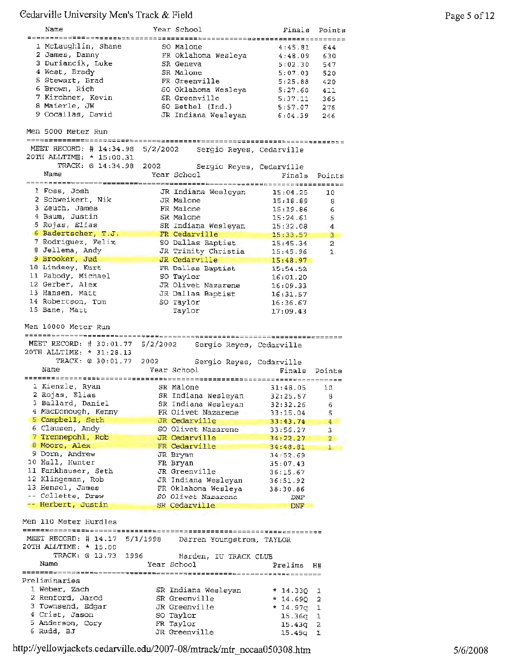| Name                                                                              |          | Year School                                          | Finals                        | Points         |
|-----------------------------------------------------------------------------------|----------|------------------------------------------------------|-------------------------------|----------------|
| ========================                                                          |          |                                                      | ===============               |                |
| 1 McLaughlin, Shane<br>2 James, Danny                                             |          | SO Malone                                            | 4:45.81                       | 644            |
|                                                                                   |          | FR Oklahoma Wesleya                                  | 4:48.09                       | 630            |
| 3 Duriancik, Luke                                                                 |          | SR Geneva                                            | 5:02.30                       | 547            |
| 4 West, Brady                                                                     |          | SR Malone                                            | 5:07.03                       | 520            |
| 5 Stewart, Brad                                                                   |          | FR Greenville                                        | 5:25.88                       | 420            |
| 6 Brown, Rich                                                                     |          | SO Oklahoma Wesleya                                  | 5:27.60                       | 411            |
| 7 Kirchner, Kevin                                                                 |          | SR Greenville                                        | 5:37.11                       | 365            |
| 8 Maierle, JW                                                                     |          | SO Bethel (Ind.)                                     | 5:57.07                       | 276            |
| 9 Cocallas, David                                                                 |          | JR Indiana Wesleyan                                  | 6:04.39                       | 246            |
| Men 5000 Meter Run                                                                |          |                                                      | ==========                    |                |
| MEET RECORD: $\#$ 14:34.98                                                        | 5/2/2002 | Sergio Reyes, Cedarville                             |                               |                |
| 20TH ALLTIME: * 15:00.31                                                          |          |                                                      |                               |                |
| TRACK: @ 14:34.98                                                                 | 2002     | Sergio Reyes, Cedarville                             |                               |                |
| Name                                                                              |          | Year School                                          | Finals                        | Points         |
|                                                                                   |          |                                                      |                               |                |
| 1 Foss, Josh                                                                      |          | JR Indiana Wesleyan                                  | 15:04.25                      | 10             |
| 2 Schweikert, Nik                                                                 |          | JR Malone                                            | 15:18.89                      | 8              |
| 3 Zeuch, James                                                                    |          | FR Malone                                            | 15:19.86                      | 6              |
| 4 Baum, Justin                                                                    |          | SR Malone                                            | 15:24.61                      | 5              |
| 5 Rojas, Elias                                                                    |          | SR Indiana Wesleyan                                  | 15:32.08                      | 4              |
| 6 Badertscher, T.J.                                                               |          | FR Cedarville                                        | 15:33.57                      | 3              |
| 7 Rodriguez, Felix                                                                |          | SO Dallas Baptist                                    | 15:45.34                      | $\overline{2}$ |
| 8 Jellema, Andy                                                                   |          | JR Trinity Christia                                  | 15:45.96                      | 1              |
| 9 Brooker, Jud                                                                    |          | JR Cedarville                                        | 15:48.97                      |                |
| 10 Lindsey, Kurt                                                                  |          | FR Dallas Baptist                                    | 15:54.52                      |                |
| 11 Pabody, Michael                                                                |          | SO Taylor                                            | 16:01.20                      |                |
| 12 Gerber, Alex                                                                   |          | JR Olivet Nazarene                                   | 16:09.33                      |                |
| 13 Hansen, Matt                                                                   |          | JR Dallas Baptist                                    | 16:31.57                      |                |
| 14 Robertson, Tom                                                                 |          | SO Taylor                                            | 16:36.67                      |                |
| 15 Bane, Matt                                                                     |          | Taylor                                               | 17:09.43                      |                |
|                                                                                   |          |                                                      |                               |                |
| MEET RECORD: # 30:01.77 5/2/2002<br>20TH ALLTIME: * 31:28.13<br>TRACK: @ 30:01.77 | 2002     | Sergio Reyes, Cedarville<br>Sergio Reyes, Cedarville | ;==== <b>========</b> ======= |                |
| Name                                                                              |          | Year School                                          | Finals Points                 |                |
|                                                                                   |          |                                                      |                               |                |
| 1 Kienzle, Ryan                                                                   |          | SR Malone                                            | 31:48.05                      | 10             |
| 2 Rojas, Elias                                                                    |          | SR Indiana Wesleyan                                  | 32:25.67                      | 8              |
| 3 Ballard, Daniel                                                                 |          | SR Indiana Wesleyan                                  | 32:32.26                      | 6              |
| 4 MacDonough, Kenny                                                               |          | FR Olivet Nazarene                                   | 33:15.04                      | 5.             |
| 5 Campbell, Seth                                                                  |          | JR Cedarville                                        | 33:43.74                      | 4              |
| 6 Clausen, Andy                                                                   |          | SO Olivet Nazarene                                   | 33:56.27                      | 3              |
| 7 Trennepohl, Rob                                                                 |          | JR Cedarville                                        | 34:22.27                      | $2 -$          |
| 8 Moore, Alex                                                                     |          | FR Cedarville                                        | 34:48.81                      | ı              |
| 9 Dorn, Andrew                                                                    |          | JR Bryan                                             | 34:52.69                      |                |
| 10 Hall, Hunter                                                                   |          | FR Bryan                                             | 35:07.43                      |                |
| 11 Fankhauser, Seth                                                               |          | JR Greenville                                        | 36:15.67                      |                |
| 12 Klingeman, Rob                                                                 |          | JR Indiana Wesleyan                                  | 36:51.92                      |                |
| 13 Hensel, James                                                                  |          | FR Oklahoma Wesleya                                  | 38:30.86                      |                |
| -- Collette, Drew                                                                 |          | SO Olivet Nazarene                                   | DNF                           |                |
| -- Herbert, Justin                                                                |          | SR Cedarville                                        | <b>DNF</b>                    |                |
| Men 110 Meter Hurdles                                                             |          |                                                      |                               |                |
| MEET RECORD: $\#$ 14.17<br>20TH ALLTIME: * 15.00                                  | 5/1/1998 | Darren Youngstrom, TAYLOR                            |                               |                |
| TRACK: @ 13.73<br>1996                                                            |          | Harden, IU TRACK CLUB                                |                               |                |
| Name                                                                              |          | Year School                                          | Prelims                       | Η#             |
|                                                                                   |          |                                                      | ===================           |                |
| Preliminaries                                                                     |          |                                                      |                               |                |
| 1 Weber, Zach                                                                     |          | SR Indiana Wesleyan                                  | * 14.33Q                      | 1              |
| 2 Renford, Jarod                                                                  |          | SR Greenville                                        | * 14.690                      | 2              |
| 3 Townsend, Edgar                                                                 |          | JR Greenville                                        | * 14.97q                      | 1              |
| 4 Crist, Jason                                                                    |          | SO Taylor                                            | 15.36գ                        | 1              |
| 5 Anderson, Cory<br>6 Rudd, BJ                                                    |          | FR Taylor<br>JR Greenville                           | 15.43q<br>15.45q              | 2<br>ı         |

http ://yellowjackets. c edarville. edu/2007-08/mtrack/mtr \_ nccaa050308 .htm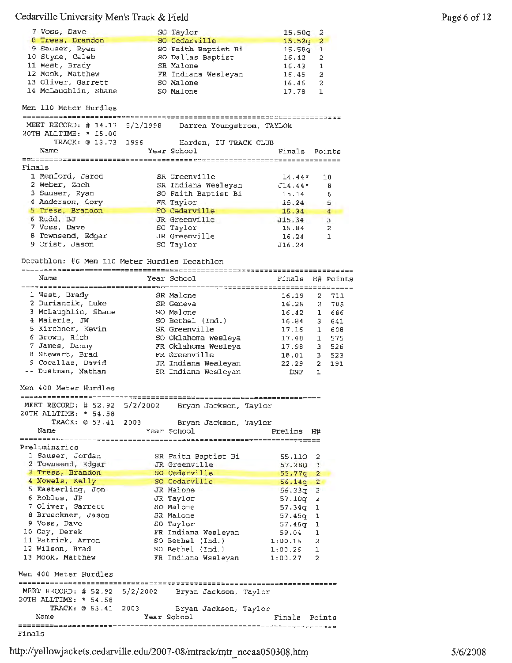|        | 7 Voss, Dave                                        |          | SO Taylor                               | 15.50q             | 2            |              |
|--------|-----------------------------------------------------|----------|-----------------------------------------|--------------------|--------------|--------------|
|        | 8 Tress, Brandon<br>9 Sauser, Ryan                  |          | SO Cedarville                           | 15.52g             | $\mathbf{2}$ |              |
|        | 10 Styne, Caleb                                     |          | SO Faith Baptist Bi                     | 15.58q             | 1            |              |
|        | 11 West, Brady                                      |          | SO Dallas Baptist<br>SR Malone          | 16.42              | 2            |              |
|        | 12 Mook, Matthew                                    |          |                                         | 16.43              | 1            |              |
|        | 13 Oliver, Garrett                                  |          | FR Indiana Wesleyan                     | 16.45              | 2            |              |
|        | 14 McLaughlin, Shane                                |          | 50 Malone                               | 16.46              | 2            |              |
|        |                                                     |          | SO Malone                               | 17.78              | 1            |              |
|        | Men 110 Meter Hurdles                               |          |                                         |                    |              |              |
|        | MEET RECORD: # 14.17                                | 5/1/1998 | Darren Youngstrom, TAYLOR               |                    |              |              |
|        | 20TH ALLTIME: * 15.00                               |          |                                         |                    |              |              |
|        | TRACK: @ 13.73 1996                                 |          | Harden, IU TRACK CLUB                   |                    |              |              |
|        | Name                                                |          | Year School                             | Finals Points      |              |              |
|        |                                                     |          |                                         |                    |              |              |
| Finals |                                                     |          |                                         |                    |              |              |
|        | 1 Renford, Jarod                                    |          | SR Greenville                           | $14.44*$           | 10           |              |
|        | 2 Weber, Zach                                       |          | SR Indiana Wesleyan                     | $J14.44*$          |              | 8            |
|        | 3 Sauser, Ryan                                      |          | SO Faith Baptist Bi                     | 15.14              |              | 6            |
|        | 4 Anderson, Cory                                    |          | FR Taylor                               | 15.24              |              | 5            |
|        | 5 Tress, Brandon                                    |          | SO Cedarville                           | 15.34              |              | 4            |
|        | 6 Rudd, BJ                                          |          | JR Greenville                           | J15.34             |              | 3            |
|        | 7 Voss, Dave                                        |          | SO Taylor                               | 15.84              |              | 2            |
|        | 8 Townsend, Edgar                                   |          | JR Greenville                           | 16.24              |              | $\mathbf{1}$ |
|        | 9 Crist, Jason                                      |          | SO Taylor                               | J16.24             |              |              |
|        |                                                     |          |                                         |                    |              |              |
|        | Decathlon: #6 Men 110 Meter Hurdles Decathlon       |          |                                         |                    |              |              |
|        | Name                                                |          | Year School                             | Finale             |              | H# Points    |
|        |                                                     |          |                                         |                    |              |              |
|        | 1 West, Brady                                       |          | SR Malone                               | 16.19              | $^{2}$       | 711          |
|        | 2 Duriancik, Luke                                   |          | SR Geneva                               | 16.25              | 2            | 705          |
|        | 3 McLaughlin, Shane                                 |          | SO Malone                               | 16.42              | $\mathbf{1}$ | 686          |
|        | 4 Maierle, JW                                       |          | SO Bethel (Ind.)                        | 16.84              | 3.           | 641          |
|        | 5 Kirchner, Kevin                                   |          | SR Greenville                           | 17.16              | $\mathbf{1}$ | 608          |
|        | 6 Brown, Rich                                       |          | SO Oklahoma Wesleya                     | 17.48              | $\mathbf{1}$ | 575          |
|        | 7 James, Danny                                      |          | FR Oklahoma Wesleya                     | 17.98              | з.           | 526          |
|        | 8 Stewart, Brad                                     |          | FR Greenville                           | 18.01              | 3.           | 523          |
|        | 9 Cocallas, David                                   |          | JR Indiana Wesleyan                     | 22.29              | $\mathbf{2}$ | 191          |
|        | -- Dustman, Nathan                                  |          | SR Indiana Wesleyan                     | DNF                | 1            |              |
|        | Men 400 Meter Hurdles                               |          |                                         |                    |              |              |
|        | MEET RECORD: # 52.92                                | 5/2/2002 | Bryan Jackson, Taylor                   |                    |              |              |
|        | 20TH ALLTIME: * 54.58                               |          |                                         |                    |              |              |
|        | TRACK: @ 53.41                                      | 2003     | Bryan Jackson, Taylor                   |                    |              |              |
|        | Name                                                |          | Year School                             | Prelims H#         |              |              |
|        |                                                     |          |                                         |                    |              |              |
|        | Preliminaries                                       |          |                                         |                    |              |              |
|        | 1 Sauser, Jordan                                    |          | SR Faith Baptist Bi                     | 55.11Q 2           |              |              |
|        | 2 Townsend, Edgar                                   |          | JR Greenville                           | 57.280 1           |              |              |
|        | 3 Tress, Brandon                                    |          | SO Cedarville                           | 55.77q             | $\mathbf{2}$ |              |
|        | 4 Nowels, Kelly                                     |          | SO Cedarville                           | $56.14q$ 2         |              |              |
|        | 5 Easterling, Jon<br>6 Robles, JP                   |          | JR Malone                               | $56.33q$ 2         |              |              |
|        |                                                     |          | JR Taylor                               | 57.10q             | 2            |              |
|        | 7 Oliver, Garrett                                   |          | SO Malone                               | 57.34q             | 1            |              |
|        | 8 Brueckner, Jason                                  |          | SR Malone                               | 57.45g             | 1            |              |
|        | 9 Voss, Dave                                        |          | SO Taylor                               | 57.46g             | ı            |              |
|        | 10 Gay, Derek<br>11 Patrick, Arron                  |          | FR Indiana Wesleyan                     | 59.04              | ı            |              |
|        | 12 Wilson, Brad                                     |          | SO Bethel (Ind.)                        | 1:00.15            | 2            |              |
|        | 13 Mook, Matthew                                    |          | SO Bethel (Ind.)<br>FR Indiana Wssleyan | 1:00.26<br>1:00.27 | 1<br>2       |              |
|        |                                                     |          |                                         |                    |              |              |
|        | Men 400 Meter Hurdles                               |          |                                         |                    |              |              |
|        | MEET RECORD: # 52.92 5/2/2002 Bryan Jackson, Taylor |          |                                         |                    |              |              |
|        | 20TH ALLTIME: * 54.58                               |          |                                         |                    |              |              |
|        | TRACK: @ 53.41                                      | 2003     | Bryan Jackson, Taylor                   |                    |              |              |
|        | Name                                                |          | Year School                             | Finals             | Points       |              |
| Finals |                                                     |          |                                         |                    |              |              |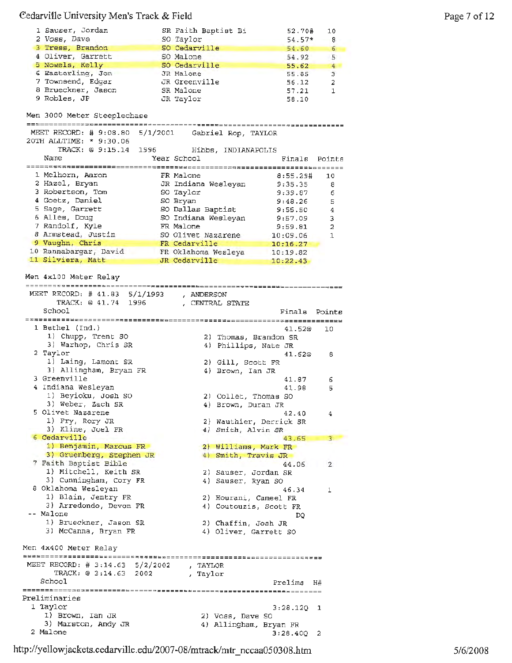| 1 Sauser, Jordan                                    | SR Faith Baptist Bi                       | 52.70#        | 10             |
|-----------------------------------------------------|-------------------------------------------|---------------|----------------|
| 2 Voss, Dave                                        | SO Taylor                                 | $54.57*$ 8    |                |
| 3 Tress, Brandon                                    | SO Cedarville                             | 54.60         | 6              |
| 4 Oliver, Garrett                                   | SO Malone                                 | 54.92         | 5              |
| 5 Nowels, Kelly                                     | SO Cedarville                             | 55.62         | 4              |
| 6 Easterling, Jon                                   | JR Malone                                 | 55.85         | 3              |
| 7 Townsend, Edgar                                   | JR Greenville                             | 56.12         | $\overline{a}$ |
| 8 Brueckner, Jason                                  | SR Malone                                 | 57.21         | $\mathbf{1}$   |
| 9 Robles, JP                                        | JR Taylor                                 | 58.10         |                |
|                                                     |                                           |               |                |
| Men 3000 Meter Steeplechase                         |                                           |               |                |
| ____________________________                        |                                           |               |                |
| MEET RECORD: # 9:08.80 5/1/2001 Gabriel Rop, TAYLOR |                                           |               |                |
| 20TH ALLTIME: * 9:30.06                             |                                           |               |                |
|                                                     | TRACK: @ 9:15.14 1996 Hibbs, INDIANAPOLIS |               |                |
| Name                                                | Year School                               | Finals Points |                |
|                                                     |                                           |               |                |
| 1 Melhorn, Aaron                                    | FR Malone                                 | $8:55.29\#$   | 10             |
| 2 Hazel, Bryan                                      | JR Indiana Wesleyan                       | 9:35.35       | 8              |
|                                                     |                                           |               |                |
| 3 Robertson, Tom                                    | SO Taylor                                 | 9:39.87       | 6              |
| 4 Goetz, Daniel                                     | SO Bryan                                  | 9:48.26       | 5              |
| 5 Sage, Garrett                                     | SO Dallas Baptist                         | 9:55.50       | 4              |
| 6 Alles, Doug                                       | SO Indiana Wesleyan                       | 9:57.09       | 3              |
| 7 Randolf, Kyle                                     | FR Malone                                 | 9:59.81       | $\overline{a}$ |
| 8 Armstead, Justin SO Olivet Nazarene 10:09.06      |                                           |               | $\mathbf{1}$   |
| 9 Vaughn, Chris                                     |                                           | 10:16.27      |                |
| 10 Rannabargar, David                               | FR Cedarville<br>FR Oklahoma Wesleya      | 10:19.82      |                |
| 11 Silviera, Matt                                   | JR Cedarville                             | 10:22.43      |                |
|                                                     |                                           |               |                |
| Men 4x100 Meter Relay                               |                                           |               |                |

TRACK: @ 41. 74 1996 , CENTRAL STATE School 1 Bethel (Ind.} 1) Chupp, Trent SO 3) Warhop, Chris SR 2 Taylor 1) Laing, Lamont SR 3) Allingham, Bryan FR <sup>3</sup>Greenville <sup>4</sup>Indiana Wesleyan 1) Beyioku, Josh so 3) Weber, Zach SR 5 Olivet Nazarene 1) Fry, Rory JR 3) Kline, Joel FR <sup>6</sup>Cedarville 1) Benjamin, Marcus FR 3) Gruenberg, Stephen JR 7 Faith Baptist Bible 1) Mitchell, Keith SR 3) Cunningham, Cory FR a Oklahoma Wesleyan 1) Blain, Jentry FR 3) Arredondo, Devon **FR**  Malone 1) Brueckner, Jason SR 3) Mccanna, Bryan FR Men 4x400 Meter Relay MEET RECORD: # 3:14.63 5/2/2002 , TAYLOR TRACK: @ 3:14.63 2002 , Taylar School Preliminaries 1 Taylor 1) Brown, Ian JR 3) Marston, Andy JR 2 Malone Finals Points 41.52@ 10 2) Thomas, Brandon SR 4) Phillips, Nate JR 41.62@ 8 2) Gill, Scott FR 4) Brown, Ian JR 41.87 41.98 5 2) Collet, Thomas so 4) Brown, Duran JR 42.40 2) Wauthier, Derrick SR 4) Smith, Alvin SR 2) Wauthier, Derrick SR<br>4) Smith, Alvin SR<br>43.65 2) Williams, Mark FR 4) Smith, Travis JR 44.06 2) Sauser, Jordan SR 4) Sauser, Ryan SO 46.34 2) Hourani, Cameel FR 4) Coutouzis, Scott FR DQ 2) Chaffin, Josh JR 4) Oliver, Garrett SO Prelims H# 3:28.12Q 1 2) Voss, Dave so 4) Allingham, Bryan FR 3,28.40Q 2 6  $42.40 \t 4$ 43.65 3 44.06 2  $46.34$  1

http://yellowjackets.cedarville.edu/2007-08/mtrack/mtr\_nccaa050308.htm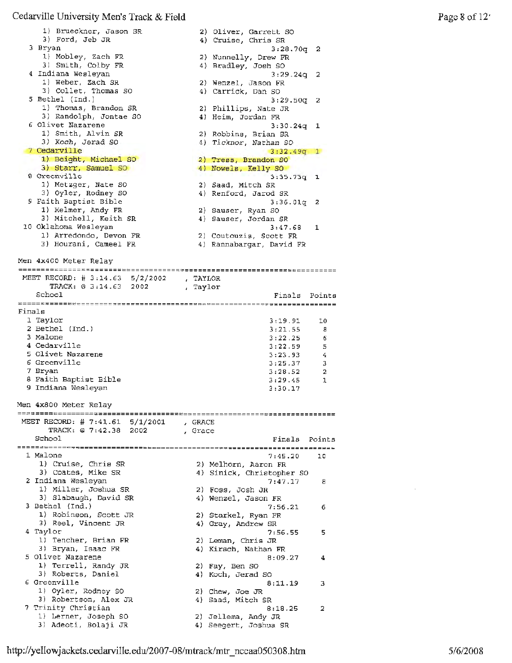1) Brueckner, Jason SR 2) Oliver, Garrett S<br>4) Cruise, Chris SR 2) Oliver, Garrett so 3) Ford, Jeb JR <sup>3</sup>Bryan 3:28.?0q 2 1) Mobley, Zach FR 2) Nunnelly, Drew FR 3) Smith, Colby **FR**  4) Bradley, Josh 80 **4** Indiana Wesleyan 3:29.24q 2 1) Weber, Zach SR 2) Wenzel, Jason FR 3) Collet, Thomas so 4) Carrick, Dan so 5 Bethel (Ind.) 3:29.SOq 2 1) Thomas, Brandon SR 2) Phillips, Nate JR 3) Randolph, Jontae so 4) Heim, Jordan FR 6 Olivet Nazarene 6 Olivet Nazarene<br>1) Smith, Alvin SR 3:30.24q 1 2) Robbins, Brian SR 3) Koch, Jerad SO 4) Ticknor, Nathan SO <sup>7</sup>Cedarville  $3:32.49q$  1 1) Beight, Michael so 2) Tress, Brandon SO 3) Starr, Samuel SO 4) Nowels, Kelly SO 3) Starr, Samuel SO<br>8 Greenville 3:35.73q **<sup>1</sup>** 1) Metzger, Nate so 2) Saad, Mitch SR 4) Renford, Jarod SR 3) Oyler, Rodney SO 9 Faith Baptist Bible 3:36.0lq <sup>2</sup> 1) Helmer, Andy FR 2) Sauser, Ryan SO 3) Mitchell, Keith SR **4)** Sauser, Jordan SR 10 Oklahoma Wesleyan 3:47.68 1 1) Arredondo, Devon FR 2) Coutouzis, Scott **FR**  3) Hourani, Cameel FR 4) Rannabargar, David FR Men 4x400 Meter Relay MEET RECORD: # 3,14.63 5/2/2002 , TAYLOR TRACK:@ 3,14.63 2002 , Taylor School Finals Points Finals 1 Taylor 3:19.91 10 2 Bethel (Ind.) 3:21.55 <sup>8</sup> 3 Malone 3:22.25 <sup>6</sup> **<sup>4</sup>**Cedarville 3:22.59 5 <sup>5</sup>Olivet Nazarene 3:23.93 <sup>4</sup> 3:25.37 3 <sup>6</sup>Greenville  $3:28.52$  2 7 Bryan <sup>8</sup>Faith Baptist Bible 3:29.45 1 9 Indiana Wesleyan 3:30.17 Men 4x800 Meter Relay **MEET** RECORD: # 7:41.61 5/1/2001 , GRACE TRACK:@ 7:42.38 2002 , Grace School Finals Points ------======~===============~================~~======================~~ 1 Malone 7:45.20 10 1) Cruise, Chris SR 2) Melhorn, Aaron FR 3) Coates, Mike SR 4) Sinick, Christopher SO <sup>2</sup>Indiana Wesleyan 7:47.17 <sup>8</sup> 1) Miller, Joshua SR 2) Foss, Josh JR 3) Slabaugh, David SR 4) Wenzel, Jason FR 3 Bethel (Ind.) 7:56.21 6 1) Robinson, Scott JR 2) Starkel, Ryan FR 3) Reel, Vincent JR 4) Gray, Andrew SR 4 Taylor 7:56.55 5 1) Tencher, Brian FR 2) Leman, Chris JR 3) Bryan, Isaac FR 4) Kirsch, Nathan FR  $5$  Olivet Nazarene 8:09.27  $4$ 1) Terrell, Randy JR 2) Fay, Ben so 3) Roberts, Daniel 4) Koch, Jerad so  $\frac{1}{2}$  6 Greenville 3 1) Oyler, Rodney so 2) Chew, Joe JR 3) Robertson, Alex JR 4) Saad, Mitch SR 7 Trinity Christian 8:18.25 2 1) Lerner, Joseph SO 2) Jellema, Andy JR 3) Adeoti, Bolaji JR 4) Seegert, Joshua SR

http://yellowjackets.cedarville.edu/2007-08/mtrack/mtr\_nccaa050308.htm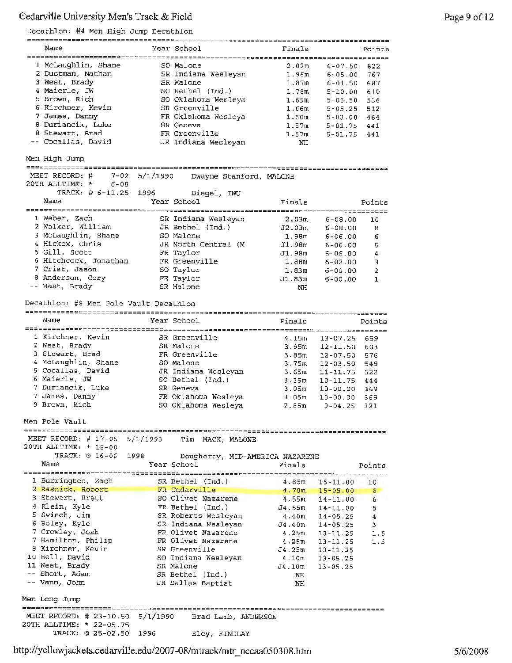#### Decathlon: #4 Men High Jump Decathlon

| Name                | Year School                            | Finals                   |                | Points |
|---------------------|----------------------------------------|--------------------------|----------------|--------|
|                     | ====================<br>============== | ======================== |                |        |
| 1 McLaughlin, Shane | SO Malone                              | 2.02 <sub>m</sub>        | $6 - 07.50$    | 822    |
| 2 Dustman, Nathan   | SR Indiana Weslevan                    | 1.96m                    | $6 - 05.00$    | 767    |
| 3 West, Brady       | SR Malone                              | 1.87m                    | $6 - 01.50$    | 687    |
| 4 Maierle. JW       | SO Bethel (Ind.)                       | 1.78m                    | $5 - 10.00$    | 610    |
| 5 Brown, Rich       | SO Oklahoma Wesleya                    | 1.69m                    | $5 - 06.50$    | 536    |
| 6 Kirchner, Kevin   | SR Greenville                          | 1.66m                    | $5 - 0.5$ . 25 | 512    |
| 7 James, Danny      | FR Oklahoma Wesleya                    | 1.60m                    | $5 - 03.00$    | 464    |
| 8 Duriancik, Luke   | SR Geneva                              | 1.57m                    | $5 - 01.75$    | 441    |
| 8 Stewart, Brad     | FR Greenville                          | 1.57m                    | $5 - 01.75$    | 441    |
| -- Cocallas, David  | JR Indiana Wesleyan                    | NH                       |                |        |

Men High Jump

MEET RECORD: # 7-02 5/1/1990 Dwayne Stanford, MALONE

| 20TH ALLTIME: *<br>$6 - 08$ |                     |                       |        |
|-----------------------------|---------------------|-----------------------|--------|
| TRACK: @ 6-11.25 1996       | Biegel, IWU         |                       |        |
| Name                        | Year School         | Finals                | Points |
|                             |                     |                       |        |
| 1 Weber, Zach               | SR Indiana Wesleyan | 2.03m<br>$6 - 08.00$  | 10     |
| 2 Walker, William           | JR Bethel $(Ind.)$  | $6 - 08.00$<br>J2.03m | - 8    |
| 3 McLaughlin, Shane         | SO Malone           | 1.98m<br>$6 - 06.00$  | 6      |
| 4 Hickox, Chris             | JR North Central (M | J1.98m<br>$6 - 06.00$ | 5      |
| 5 Gill, Scott               | FR Taylor           | J1.98m<br>$6 - 06.00$ | 4      |
| 6 Hitchcock, Jonathan       | FR Greenville       | 1.88m<br>$6 - 02.00$  | 3      |
| 7 Crist, Jason              | SO Taylor           | 1.83m<br>$6 - 00.00$  | 2      |
| 8 Anderson, Cory            | FR Taylor           | $6 - 00.00$<br>J1.83m | ı      |
| -- West, Brady              | SR Malone           | NH                    |        |

Decathlon: #8 Men Pole Vault Decathlon

11 West, Brady SR Malone

Short, Adam SR Bethel (Ind.) Vann, John JR Dallas Baptist

| Name                | Year School                      | Finals            |              | Points |
|---------------------|----------------------------------|-------------------|--------------|--------|
|                     | -------------------------------- |                   |              |        |
| 1 Kirchner, Kevin   | SR Greenville                    | 4.15m             | $13 - 07.25$ | 659    |
| 2 West, Brady       | SR Malone                        | 3.95m             | $12 - 11.50$ | 603    |
| 3 Stewart, Brad     | FR Greenville                    | 3.85 <sub>m</sub> | $12 - 07.50$ | 576    |
| 4 McLaughlin, Shane | SO Malone                        | 3.75m             | $12 - 03.50$ | 549    |
| 5 Cocallas, David   | JR Indiana Wesleyan              | 3.65m             | $11 - 11.75$ | 522    |
| 6 Maierle. JW       | SO Bethel (Ind.)                 | 3.35m             | $10 - 11.75$ | 444    |
| 7 Duriancik, Luke   | SR Geneva                        | 3.05m             | $10 - 00.00$ | 369    |
| 7 James, Danny      | FR Oklahoma Wesleya              | 3.05 <sub>m</sub> | $10 - 00.00$ | 369    |
| 9 Brown, Rich       | SO Oklahoma Wesleva              | 2.85m             | $9 - 04.25$  | 321    |

Men Pole Vault

Men Long Jump

20TH ALLTIME: \* 22-05.75

MEET RECORD, # 17-05 5/1/1993 *Tim* MACK, MALONE 20TH ALLTIME, \* 15-00 TRACK, @ 16-06 1998 Dougherty, MID-AMERICA NAZARENE Name Year School Finals Points ------============----~=~=========~=====~~;=:===~========~:==========~~========== 1 Burrington, Zach SR Bethel (Ind.) 15-11.00 10 4.85m 2 Rasnick, Robert FR Cedarville 4.70m 15-05.00 <sup>8</sup> 3 Stewart, Brett so Olivet Nazarene 4.55m 14-11. 00 6 **<sup>4</sup>**Klein, Kyle FR Bethel (Ind.) J4.55m 14-11.00 5 5 Swiech, Jim SR Roberts Wesleyan 4.40m 14-05.25 **<sup>4</sup>** 6 Boley, Kyle SR Indiana Wesleyan J4.40m 14-05.25 <sup>3</sup> 7 Crowley, Josh FR Olivet Nazarene 4.25m 13-11. 25 1. 5 7 Hamilton, Philip FR Olivet Nazarene 13-11. 25 1. 5 4.25m 9 Kirchner, Kevin SR Greenville J4.25m 13-11.25 10 Bell, David so Indiana Wesleyan 4.10m 13-05 .25

J4.10m NH NH

13-05. 25

http://yellowjackets.cedarville.edu/2007-08/mtrack/mtr\_nccaa050308.htm

MEET RECORD: # 23-10.50 5/1/1990 Brad Lamb, ANDERSON

TRACK, @ 25-02.SO 1996 Eley, FINDLAY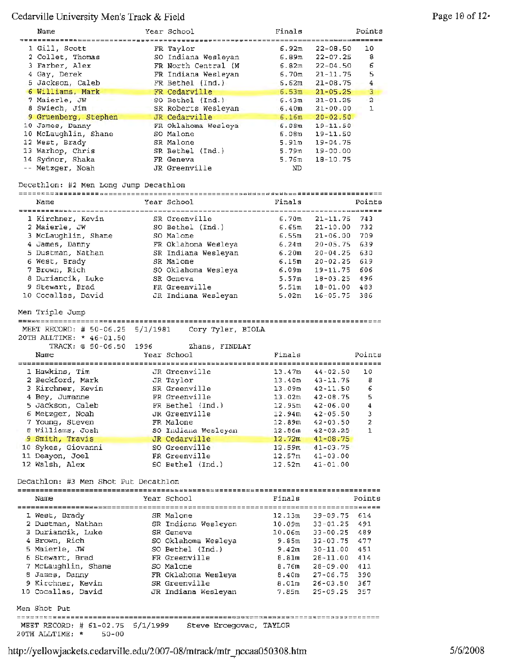| Name                                                     |          | Year School                                 | Finals                     |                              | Points         |
|----------------------------------------------------------|----------|---------------------------------------------|----------------------------|------------------------------|----------------|
| <b>*************</b> ***                                 |          |                                             |                            | ===============              |                |
| 1 Gill, Scott                                            |          | FR Taylor                                   | 6.92m                      | $22 - 08.50$                 | 10             |
| 2 Collet, Thomas                                         |          | SO Indiana Wesleyan                         | 6.89m                      | $22 - 07.25$                 | 8              |
| 3 Farber, Alex                                           |          | FR North Central (M                         | 6.82m                      | $22 - 04.50$                 | 6              |
| 4 Gay, Derek<br>5 Jackson, Caleb                         |          | FR Indiana Wesleyan<br>$FR$ Bethel $(Ind.)$ | 6.70 <sub>m</sub><br>6.62m | $21 - 11.75$<br>$21 - 08.75$ | 5<br>4         |
| 6 Williams, Mark                                         |          | FR Cedarville                               | 6.53m                      | $21 - 05.25$                 | 3              |
| 7 Maierle, JW                                            |          | SO Bethel (Ind.)                            | 6.43m                      | $21 - 01.25$                 | $\overline{a}$ |
| 8 Swiech, Jim                                            |          | SR Roberts Wesleyan                         | 6.40m                      | $21 - 00.00$                 | $\mathbf{1}$   |
| 9 Gruenberg, Stephen                                     |          | JR Cedarville                               | 6.16m                      | $20 - 02.50$                 |                |
| 10 James, Danny                                          |          | FR Oklahoma Wesleya                         | 6.08m                      | $19 - 11.50$                 |                |
| 10 McLaughlin, Shane                                     |          | SO Malone                                   | 6.08m                      | 19-11.50                     |                |
| 12 West, Brady                                           |          | SR Malone                                   | 5.91m                      | 19-04.75                     |                |
| 13 Warhop, Chris                                         |          | SR Bethel (Ind.)                            | 5.79m                      | $19 - 00.00$                 |                |
| 14 Sydnor, Shaka                                         |          | FR Geneva                                   | 5,76m                      | $18 - 10.75$                 |                |
| -- Metzger, Noah                                         |          | JR Greenville                               | ND.                        |                              |                |
| Decathlon: #2 Men Long Jump Decathlon                    |          |                                             |                            |                              |                |
| Name                                                     |          | Year School                                 | Finals                     |                              | Points         |
|                                                          |          |                                             |                            |                              |                |
| 1 Kirchner, Kevin                                        |          | SR Greenville                               | 6.70m                      | $21 - 11.75$                 | 743            |
| 2 Maierle, JW                                            |          | SO Bethel (Ind.)                            | 6.65m                      | $21 - 10.00$                 | 732            |
| 3 McLaughlin, Shane                                      |          | SO Malone                                   | 6.55m                      | 21-06.00                     | 709            |
| 4 James, Danny                                           |          | FR Oklahoma Wesleya                         | 6.24m                      | $20 - 05.75$                 | 639            |
| 5 Dustman, Nathan                                        |          | SR Indiana Wesleyan                         | 6.20m                      | $20 - 04.25$                 | 630            |
| 6 West, Brady                                            |          | SR Malone                                   | 6.15m                      | $20 - 02.25$                 | 619            |
| 7 Brown, Rich                                            |          | SO Oklahoma Wesleya                         | 6.09m                      | 19-11.75                     | 606            |
| 8 Duriancik, Luke                                        |          | SR Geneva                                   | 5.57m                      | $10 - 03.25$                 | 496            |
| 9 Stewart, Brad                                          |          | FR Greenville                               | 5.51m                      | 18-01.00                     | 483            |
| 10 Cocallas, David                                       |          | JR Indiana Wesleyan                         | 5.02m                      | $16 - 05.75$                 | 386            |
| Men Triple Jump                                          |          |                                             |                            |                              |                |
|                                                          |          |                                             |                            |                              |                |
|                                                          |          |                                             |                            |                              |                |
| MEET RECORD: $\#$ 50-06.25                               | 5/1/1981 | Cory Tyler, BIOLA                           |                            |                              |                |
| 20TH ALLTIME: * 46-01.50                                 |          |                                             |                            |                              |                |
| TRACK: @ 50-06.50<br>1996                                |          | Zhans, FINDLAY                              |                            |                              |                |
| Name                                                     |          | Year School                                 | Finals                     |                              | Points         |
| 1 Hawkins, Tim                                           |          | JR Greenville                               | 13.47m                     | 44-02.50                     | 10             |
| 2 Beckford, Mark                                         |          | JR Taylor                                   | 13.40m                     | 43-11.75                     | 8              |
| 3 Kirchner, Kevin                                        |          | SR Greenville                               | 13.09m                     | 42-11.50                     | 6              |
| 4 Bey, Jumanne                                           |          | FR Greenville                               | 13.02m                     | $42 - 08.75$                 | 5              |
| 5 Jackson, Caleb                                         |          | FR Bethel (Ind.)                            | 12.95m                     | $42 - 06.00$                 | 4              |
| 6 Metzger, Noah                                          |          | JR Greenville                               | 12.94m                     | $42 - 05.50$                 | 3              |
| 7 Young, Steven                                          |          | FR Malone                                   | 12.89m                     | $42 - 03.50$                 | 2              |
| 8 Williams, Josh                                         |          | SO Indiana Wesleyan                         | 12.86m                     | $42 - 02.25$                 | $\mathbf{1}$   |
| 9 Smith, Travis                                          |          | JR Cedarville                               | 12.72m                     | $41 - 08.75$                 |                |
| 10 Sykes, Giovanni                                       |          | SO Greenville                               | 12.59m                     | $41 - 03.75$                 |                |
| 11 Deayon, Joel                                          |          | FR Greenville                               | 12.57m                     | $41 - 03.00$                 |                |
| 12 Walsh, Alex                                           |          | SO Bethel (Ind.)                            | 12.52m                     | $41 - 01.00$                 |                |
| Decathlon: #3 Men Shot Put Decathlon                     |          |                                             |                            |                              |                |
|                                                          |          |                                             |                            |                              |                |
| Name                                                     |          | Year School                                 | Finals                     |                              | Points         |
|                                                          |          |                                             |                            |                              |                |
| 1 West, Brady                                            |          | SR Malone                                   | 12.13m                     | 39-09.75                     | 614            |
| 2 Dustman, Nathan                                        |          | SR Indiana Wesleyan                         | 10.09m                     | $33 - 01.25$ 491             |                |
| 3 Duriancik, Luke                                        |          | SR Geneva                                   | 10.06m                     | 33-00.25                     | 489            |
| 4 Brown, Rich                                            |          | SO Oklahoma Wesleya                         | 9.85m                      | 32-03.75                     | 477            |
| 5 Maierle, JW<br>6 Stewart, Brad                         |          | SO Bethel (Ind.)<br>FR Greenville           | 9.42 ա<br>8.81m            | 30-11.00<br>28-11.00         | 451<br>414     |
|                                                          |          | SO Malone                                   | 8.76π                      | 28-09.00                     | 411            |
| 7 McLaughlin, Shane<br>8 James, Danny                    |          | FR Oklahoma Wesleya                         | 8.40m                      | $27 - 06.75$                 | 390            |
| 9 Kirchner, Kevin                                        |          | SR Greenville                               | 8.01m                      | 26-03.50 367                 |                |
| 10 Cocallas, David                                       |          | JR Indiana Wesleyan                         | 7.85m                      | 25-09.25                     | 357            |
|                                                          |          |                                             |                            |                              |                |
| Men Shot Put                                             |          |                                             |                            |                              |                |
| MEET RECORD: # 61-02.75 5/1/1999 Steve Ercegovac, TAYLOR |          |                                             |                            |                              |                |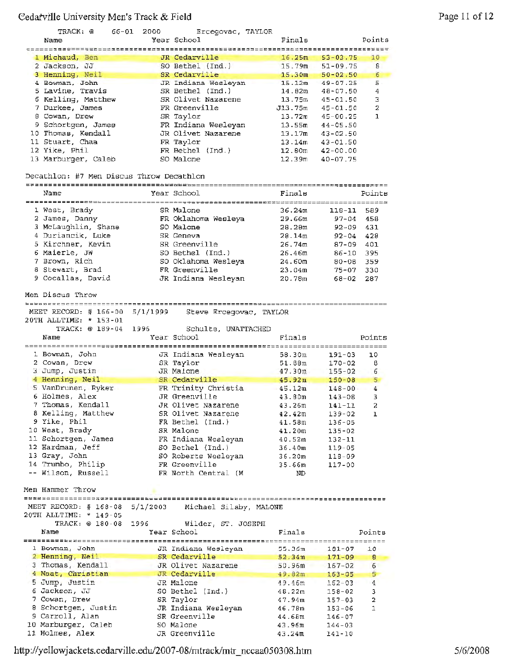| TRACK: @<br>66-01                        | 2000     | Ercegovac, TAYLOR          |                    |                       |                |
|------------------------------------------|----------|----------------------------|--------------------|-----------------------|----------------|
| Name                                     |          | Year School                | Finals             |                       | Points         |
|                                          |          |                            |                    |                       |                |
| 1 Michaud, Ben                           |          | JR Cedarville              | 16.25m             | $53 - 03.75$          | 10             |
| 2 Jackson, JJ                            |          | SO Bethel (Ind.)           | 15.79m             | $51 - 09.75$          | 8              |
| 3 Henning, Neil                          |          | SR Cedarville              |                    | $15.30m$ $50-02.50$   | 6              |
| 4 Bowman, John                           |          | JR Indiana Wesleyan        | 15.12m             | $49 - 07.25$          | 5              |
| 5 Lavine, Travis                         |          | SR Bethel (Ind.)           | 14.02m             | 48-07.50              | 4              |
| 6 Kelling, Matthew                       |          | SR Olivet Nazarene         |                    | $13.75m$ $45-01.50$   | 3              |
| 7 Durkee, James                          |          | FR Greenville              |                    | $J13.75m$ 45-01.50    | 2              |
| 8 Cowan, Drew                            |          | SR Taylor                  |                    | $13.72\pi$ $45-00.25$ | 1              |
| 9 Schortgen, James                       |          | FR Indiana Wesleyan        |                    | $13.55m$ $44-05.50$   |                |
| 10 Thomas, Kendall                       |          | JR Olivet Nazarene         |                    | $13.17m$ $43-02.50$   |                |
| 11 Stuart, Chaa                          |          | FR Taylor                  |                    | $13.14m$ $43-01.50$   |                |
| 12 Yike, Phil                            |          | FR Bethel (Ind.)           |                    | 12.80m  42-00.00      |                |
| 13 Marburger, Caleb                      |          | SO Malone                  | 12.39m             | $40 - 07.75$          |                |
|                                          |          |                            |                    |                       |                |
| Decathlon: #7 Men Discus Throw Decathlon |          |                            |                    |                       |                |
|                                          |          |                            |                    |                       |                |
| Name                                     |          | Year School                | Finals             |                       | Points         |
|                                          |          |                            |                    |                       |                |
| 1 West, Brady                            |          | SR Malone                  | 36.24m             | 118-11                | 589            |
| 2 James, Danny                           |          | FR Oklahoma Wesleya        | 29.66m             | $97 - 04$             | 458            |
| 3 McLaughlin, Shane                      |          | SO Malone                  | 28.28m             | 92-09                 | 431            |
| 4 Duriancik, Luke                        |          | SR Geneva                  | 28.14m             | 92-04                 | 428            |
| 5 Kirchner, Kevin                        |          | SR Greenville              | 26.74m             | 87-09                 | 401            |
| 6 Maierle, JW                            |          | SO Bethel (Ind.)           | 26.46m             | 86-10                 | 395            |
| 7 Brown, Rich                            |          | SO Oklahoma Wesleya        | 24.60m             | 80-08                 | 359            |
| 8 Stewart, Brad                          |          | FR Greenville              | 23.04m             | 75-07                 | 330            |
| 9 Cocallas, David                        |          | JR Indiana Wesleyan        | 20.78m             | 68-02                 | 287            |
|                                          |          |                            |                    |                       |                |
| Men Discus Throw                         |          |                            |                    |                       |                |
|                                          |          |                            |                    |                       |                |
| MEET RECORD: $\#$ 166-00                 | 5/1/1999 | Steve Ercegovac, TAYLOR    |                    |                       |                |
| 20TH ALLTIME: * 153-01                   |          |                            |                    |                       |                |
|                                          |          |                            |                    |                       |                |
| TRACK: @ 189-04                          | 1996     | Schulte, UNATTACHED        |                    |                       |                |
| Name                                     |          | Year School                | Finals             |                       | Points         |
|                                          |          |                            |                    |                       |                |
| 1 Bowman, John                           |          | JR Indiana Wesleyan        | 58.30m             | 191-03                | 10             |
| 2 Cowan, Drew                            |          | SR Taylor                  | 51.68m             | $170 - 02$            | в              |
| 3 Jump, Justin                           |          | JR Malone                  | 47.30m             | $155 - 02$            | 6              |
| 4 Henning, Neil                          |          | SR Cedarville              | 45.92m             | $150 - 08$            | $5 -$          |
| 5 VanDrunen, Ryker                       |          | FR Trinity Christia        | 45.12m             | $148 - 00$            | $\overline{4}$ |
| 6 Holmes, Alex                           |          | JR Greenville              | 43.80m             | 143-08                | з              |
| 7 Thomas, Kendall                        |          | JR Olivet Nazarene         | 43.26m             | 141-11                | 2              |
| 8 Kelling, Matthew                       |          | SR Olivet Nazarene         | 42.42 <sub>m</sub> | 139-02                | ı              |
| 9 Yike, Phil                             |          | FR Bethel (Ind.)           | 41.58m             | $136 - 05$            |                |
| 10 West, Brady                           |          | SR Malone                  | 41.20m             | 135-02                |                |
| 11 Schortgen, James                      |          | FR Indiana Wesleyan        | 40.52m             | 132-11                |                |
| 12 Hardman, Jeff                         |          | SO Bethel (Ind.)           | 36.40m             | $119 - 05$            |                |
| 13 Gray, John                            |          | SO Roberts Wesleyan        | 36.20m             | 118-09                |                |
| 14 Trumbo, Philip                        |          | FR Greenville              | 35.66m             | 117-00                |                |
| -- Wilson, Russell                       |          | FR North Central (M        | ND.                |                       |                |
|                                          |          |                            |                    |                       |                |
| Men Hammer Throw                         |          |                            |                    |                       |                |
|                                          |          |                            |                    |                       |                |
| MEET RECORD: # 168-08 5/1/2003           |          | Michael Silsby, MALONE     |                    |                       |                |
| 20TH ALLTIME: * 149-05                   |          |                            |                    |                       |                |
| TRACK: @ 180-08                          | 1996     | Wilder, ST. JOSEPH         |                    |                       |                |
| Name                                     |          | Year School                | Finals             |                       | Points         |
|                                          |          |                            |                    |                       |                |
| 1 Bowman, John                           |          | JR Indiana Wesleyan        | 55.36m             | 181-07                | 10             |
| 2 Henning, Neil                          |          | SR Cedarville              | 52.34m             | $171 - 09$            | 8              |
| 3 Thomas, Kendall                        |          | JR Olivet Nazarene         | 50.96m             | $167 - 02$            | 6              |
| 4 Maat, Christian                        |          | JR Cedarville              | 49.82m             | $163 - 05$            | 5              |
| 5 Jump, Justin                           |          | JR Malone                  | 49.46m             | $162 - 03$            | 4              |
| 6 Jackson, JJ                            |          | SO Bethel (Ind.)           | 48.22m             | 158-02                | з              |
| 7 Cowan, Drew                            |          | SR Taylor                  | 47.94m             | 157-03                | 2              |
| 8 Schortgen, Justin                      |          | JR Indiana Wesleyan        | 46.78m             | $153 - 06$            | 1              |
| 9 Carroll, Alan                          |          | SR Greenville              | 44.68m             | 146-07                |                |
| 10 Marburger, Caleb<br>11 Holmes, Alex   |          | SO Malone<br>JR Greenville | 43.96m<br>43.24m   | $144 - 03$<br>141-10  |                |

http://yellowjackets.cedarville.edu/2007-08/mtrack/mtr nccaa050308.htm